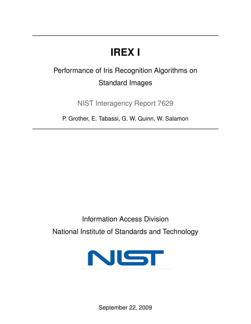# **IREX I**

# Performance of Iris Recognition Algorithms on Standard Images

NIST Interagency Report 7629

P. Grother, E. Tabassi, G. W. Quinn, W. Salamon

Information Access Division National Institute of Standards and Technology

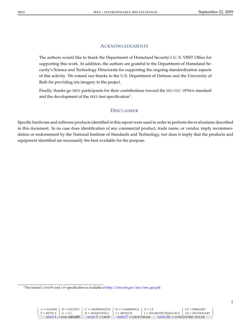#### **ACKNOWLEDGMENTS**

The authors would like to thank the Department of Homeland Security's U. S. VISIT Office for supporting this work. In addition, the authors are grateful to the Department of Homeland Security's Science and Technology Directorate for supporting the ongoing standardization aspects of this activity. We extend our thanks to the U.S. Department of Defense and the University of Bath for providing iris imagery to the project.

Finally, thanks go IREX participants for their contributions toward the ISO/IEC 19794-6 standard and the development of the IREX test specification $^{1}$ .

#### **DISCLAIMER**

Specific hardware and software products identified in this report were used in order to perform the evaluations described in this document. In no case does identification of any commercial product, trade name, or vendor, imply recommendation or endorsement by the National Institute of Standards and Technology, nor does it imply that the products and equipment identified are necessarily the best available for the purpose.

<sup>&</sup>lt;sup>1</sup>The formal CONOPS and API specification is available at http://iris.nist.gov/irex/irex\_api.pdf.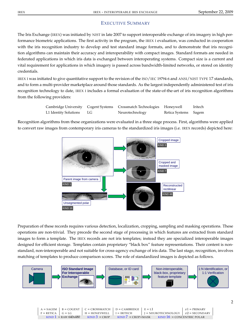## EXECUTIVE SUMMARY

The Iris Exchange (IREX) was initiated by NIST in late 2007 to support interoperable exchange of iris imagery in high performance biometric applications. The first activity in the program, the IREX I evaluation, was conducted in cooperation with the iris recognition industry to develop and test standard image formats, and to demonstrate that iris recognition algorithms can maintain their accuracy and interoperability with compact images. Standard formats are needed in federated applications in which iris data is exchanged between interoperating systems. Compact size is a current and vital requirement for applications in which imagery is passed across bandwidth-limited networks, or stored on identity credentials.

IREX I was initiated to give quantitative support to the revision of the ISO/IEC 19794-6 and ANSI/NIST TYPE 17 standards, and to form a multi-provider marketplace around those standards. As the largest independently administered test of iris recognition technology to date, IREX I includes a formal evaluation of the state-of-the-art of iris recognition algorithms from the following providers:

|                          | Cambridge University Cogent Systems Crossmatch Technologies Honeywell |                      | Iritech |
|--------------------------|-----------------------------------------------------------------------|----------------------|---------|
| L1 Identity Solutions LG | Neurotechnology                                                       | Retica Systems Sagem |         |

Recognition algorithms from these organizations were evaluated in a three stage process. First, algorithms were applied to convert raw images from contemporary iris cameras to the standardized iris images (i.e. IREX records) depicted here:



Preparation of these records requires various detection, localization, cropping, sampling and masking operations. These operations are non-trivial. They precede the second stage of processing in which features are extracted from standard images to form a template. The IREX records are not iris templates; instead they are specialized interoperable images designed for efficient storage. Templates contain proprietary "black box" feature representations. Their content is nonstandard, non-interoperable and not suitable for cross-agency exchange of iris data. The last stage, recognition, involves matching of templates to produce comparison scores. The role of standardized images is depicted as follows.

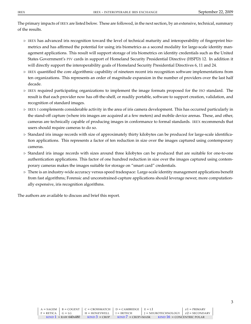The primary impacts of IREX are listed below. These are followed, in the next section, by an extensive, technical, summary of the results.

- $\triangleright$  IREX has advanced iris recognition toward the level of technical maturity and interoperability of fingerprint biometrics and has affirmed the potential for using iris biometrics as a second modality for large-scale identity management applications. This result will support storage of iris biometrics on identity credentials such as the United States Government's PIV cards in support of Homeland Security Presidential Directive (HSPD) 12. In addition it will directly support the interoperability goals of Homeland Security Presidential Directives 6, 11 and 24.
- $\triangleright$  IREX quantified the core algorithmic capability of nineteen recent iris recognition software implementations from ten organizations. This represents an order of magnitude expansion in the number of providers over the last half decade.
- $\triangleright$  IREX required participating organizations to implement the image formats proposed for the ISO standard. The result is that each provider now has off-the-shelf, or readily portable, software to support creation, validation, and recognition of standard images.
- $\triangleright$  IREX I complements considerable activity in the area of iris camera development. This has occurred particularly in the stand-off capture (where iris images are acquired at a few meters) and mobile device arenas. These, and other, cameras are technically capable of producing images in conformance to formal standards. IREX recommends that users should require cameras to do so.
- $\triangleright$  Standard iris image records with size of approximately thirty kilobytes can be produced for large-scale identification applications. This represents a factor of ten reduction in size over the images captured using contemporary cameras.
- $\triangleright$  Standard iris image records with sizes around three kilobytes can be produced that are suitable for one-to-one authentication applications. This factor of one hundred reduction in size over the images captured using contemporary cameras makes the images suitable for storage on "smart card" credentials.
- $\triangleright$  There is an industry-wide accuracy versus speed tradespace: Large-scale identity management applications benefit from fast algorithms; Forensic and unconstrained-capture applications should leverage newer, more computationally expensive, iris recognition algorithms.

The authors are available to discuss and brief this report.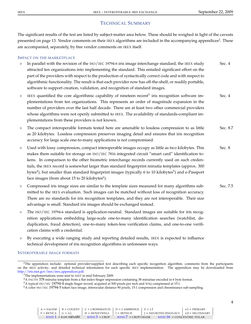## TECHNICAL SUMMARY

The significant results of the test are listed by subject-matter area below. These should be weighed in light of the caveats presented on page 13. Vendor comments on their IREX algorithms are included in the accompanying appendices<sup>2</sup>. These are accompanied, separately, by free vendor comments on IREX itself.

#### IMPACT ON THE MARKETPLACE

- $\triangleright$  In parallel with the revision of the ISO/IEC 19794-6 iris image interchange standard, the IREX study Sec. 4 attracted ten organizations into implementing the standard. This entailed significant effort on the part of the providers with respect to the production of syntactically correct code and with respect to algorithmic functionality. The result is that each provider now has off-the-shelf, or readily portable, software to support creation, validation, and recognition of standard images.
- $\triangleright$  IREX quantified the core algorithmic capability of nineteen recent<sup>3</sup> iris recognition software im-<br>Sec. 4 plementations from ten organizations. This represents an order of magnitude expansion in the number of providers over the last half decade. There are at least two other commercial providers whose algorithms were not openly submitted to IREX. The availability of standards-compliant implementations from these providers is not known.
- $\triangleright$  The compact interoperable formats tested here are amenable to lossless compression to as little Sec. 8.7 as 20 kilobytes. Lossless compression preserves imaging detail and ensures that iris recognition accuracy for large scale one-to-many applications is not compromised.
- $\triangleright$  Used with lossy compression, compact interoperable images occupy as little as two kilobytes. This Sec. 8 makes them suitable for storage on ISO/IEC 7816 integrated circuit "smart card" identification tokens. In comparison to the other biometric interchange records currently used on such credentials, the IREX record is somewhat larger than standard fingerprint minutia templates (approx. 300 bytes<sup>4</sup>), but smaller than standard fingerprint images (typically 6 to 10 kilobytes<sup>5</sup>) and e-Passport face images (from about 15 to 20 kilobytes $^6$ ).
- $\triangleright$  Compressed iris image sizes are similar to the template sizes measured for many algorithms sub- Sec. 7.5 mitted to the IREX evaluation. Such images can be matched without loss of recognition accuracy. There are no standards for iris recognition templates, and they are not interoperable. Their size advantage is small. Standard iris images should be exchanged instead.
- $\triangleright$  The ISO/IEC 19794-6 standard is application-neutral. Standard images are suitable for iris recognition applications embedding large-scale one-to-many identification searches (watchlist, deduplication, fraud detection), one-to-many token-less verification claims, and one-to-one verification claims with a credential.
- $\triangleright$  By executing a wide ranging study and reporting detailed results, IREX is expected to influence technical development of iris recognition algorithms in unforeseen ways.

#### INTEROPERABLE IMAGE FORMATS

<sup>2</sup>The appendices include: optional provider-supplied text describing each specific recognition algorithm; comments from the participants on the IREX activity; and detailed technical information for each specific IREX implementation. The appendices may be downloaded from http://iris.nist.gov/irex/irex appendices.pdf.

<sup>&</sup>lt;sup>3</sup>The implementations were sent to NIST in mid February 2009.

<sup>4</sup>A INCITS 378 minutia template from a flat index-finger impression containing 38 minutiae encoded in 6 byte format.

<sup>5</sup>A typical ISO/IEC 19794-4 single finger record, acquired at 500 pixels per inch and WSQ compressed at 15:1.

<sup>6</sup>A color ISO/IEC 19794-5 token face image, interocular distance 90 pixels, 15:1 compression and chrominance sub-sampling.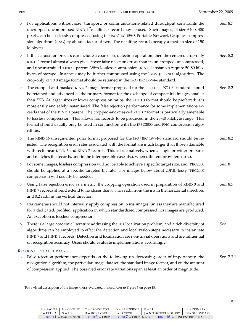$\triangleright$  For applications without size, transport, or communications-related throughput constraints the Sec. 8.7 uncropped uncompressed KIND 1<sup>7</sup> rectilinear record may be used. Such images, of size 640 x 480 pixels, can be losslessly compressed using the ISO/IEC 15948 Portable Network Graphics compression algorithm (PNG) by about a factor of two. The resulting records occupy a median size of 150 kilobytes.  $\triangleright$  If the acquisition process can include a coarse iris detection operation, then the centered crop-only Sec. 8.2 KIND 3 record almost always gives fewer false rejection errors than its un-cropped, uncompressed, and unconstrained KIND 1 parent. With lossless compression, KIND 3 instances require 50-80 kilobytes of storage. Instances may be further compressed using the lossy JPEG2000 algorithm. The crop-only KIND 3 image format should be retained in the ISO/IEC 19794-6 standard. . The cropped-and-masked KIND 7 image format proposed for the ISO/IEC 19794-6 standard should Sec. 8.2 be retained and advanced as the primary format for the exchange of compact iris images smaller than 3KB. At larger sizes or lower compression ratios, the KIND 3 format should be preferred: it is more easily and safely instantiated. The false rejection performance for some implementations exceeds that of the KIND 1 parent. The cropped-and-masked KIND 7 format is particularly amenable to lossless compression. This allows iris records to be produced in the 20-40 kilobyte range. This format should usually only be used in conjunction with the JPEG2000 and PNG compression algorithms. . The KIND 16 unsegmented polar format proposed for the ISO/IEC 19794-6 standard should be re- Sec. 8.2 jected. The recognition error rates associated with the format are much larger than those attainable with rectilinear KIND 3 and KIND 7 records. This is true natively, when a single provider prepares and matches the records, and in the interoperable case also, when different providers do so.  $\triangleright$  For some images, lossless compression will not be able to achieve a specific target size, and JPEG2000 Sec. 8 should be applied at a specific targeted bit rate. For images below about 20KB, lossy JPEG2000 compression will usually be needed.  $\triangleright$  Using false rejection error as a metric, the cropping operation used in preparation of KIND 3 and Sec. 8.5 KIND 7 records should extend to no closer than 0.6 iris radii from the iris in the horizontal direction, and 0.2 radii in the vertical direction.  $\triangleright$  Iris cameras should not internally apply compression to iris images, unless they are manufactured for a dedicated, profiled, application in which standardized compressed iris images are produced. An exception is lossless compression.  $\triangleright$  There is a large academic literature addressing the iris localization problem, and a rich diversity of Sec. 1 algorithms can be employed to effect the detection and localization steps necessary to instantiate KIND 7 and KIND 3 records. Detection and localization are non-trivial operations and are influential on recognition accuracy. Users should evaluate implementations accordingly. RECOGNITION ACCURACY  $\triangleright$  False rejection performance depends on the following (in decreasing order of importance): the Sec. 7.3.1 recognition algorithm, the particular image dataset, the standard image format, and on the amount

of compression applied. The observed error rate variations span at least an order of magnitude.

 $7$ For a visual description of the image KINDS evaluated in IREX, refer to Figure 3 on page 18.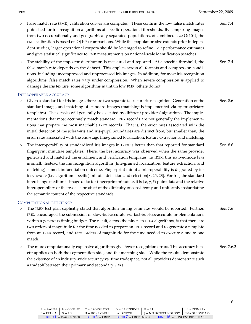- $\triangleright$  False match rate (FMR) calibration curves are computed. These confirm the low false match rates Sec. 7.4 published for iris recognition algorithms at specific operational thresholds. By comparing images from two occupationally and geographically separated populations, of combined size  $O(10^4)$ , the FMR calibration is based on  $O(10^9)$  comparisons. While this population size extends prior independent studies, larger operational corpora should be leveraged to refine FMR performance estimates and give statistical significance to FMR measurements on national-scale identification searches.
- $\triangleright$  The stability of the impostor distribution is measured and reported. At a specific threshold, the Sec. 7.4 false match rate depends on the dataset. This applies across all formats and compression conditions, including uncompressed and unprocessed iris images. In addition, for most iris recognition algorithms, false match rates vary under compression. When severe compression is applied to damage the iris texture, some algorithms maintain low FMR; others do not.

#### INTEROPERABLE ACCURACY

- $\triangleright$  Given a standard for iris images, there are two separate tasks for iris recognition: Generation of the Sec. 8.6 standard image, and matching of standard images (matching is implemented via by proprietary templates). These tasks will generally be executed by different providers' algorithms. The implementations that most accurately match standard IREX records are not generally the implementations that prepare the most matchable IREX records. That is, the error rates associated with the initial detection of the sclera-iris and iris-pupil boundaries are distinct from, but smaller than, the error rates associated with the end-stage fine-grained localization, feature extraction and matching.
- $\triangleright$  The interoperability of standardized iris images in IREX is better than that reported for standard Sec. 8.6 fingerprint minutiae templates: There, the best accuracy was observed when the same provider generated and matched the enrollment and verification templates. In IREX, this native-mode bias is small. Instead the iris recognition algorithm (fine-grained localization, feature extraction, and matching) is most influential on outcome. Fingerprint minutia interoperability is degraded by idiosyncratic (i.e. algorithm-specific) minutia detection and selection[8, 25, 23]. For iris, the standard interchange medium is image data; for fingerprint minutiae, it is  $(x, y, \theta)$  point data and the relative interoperability of the two is a product of the difficulty of consistently and uniformly instantiating the semantic content of the respective standards.

#### COMPUTATIONAL EFFICIENCY

- $\triangleright$  The IREX test plan explicitly stated that algorithm timing estimates would be reported. Further, Sec. 7.6 IREX encouraged the submission of slow-but-accurate vs. fast-but-less-accurate implementations within a generous timing budget. The result, across the nineteen IREX algorithms, is that there are two orders of magnitude for the time needed to prepare an IREX record and to generate a template from an IREX record, and *three* orders of magnitude for the time needed to execute a one-to-one match.
- $\triangleright$  The more computationally expensive algorithms give fewer recognition errors. This accuracy ben- Sec. 7.6.3 efit applies on both the segmentation side, and the matching side. While the results demonstrate the existence of an industry-wide accuracy vs. time tradespace, not all providers demonstrate such a tradeoff between their primary and secondary SDKs.

6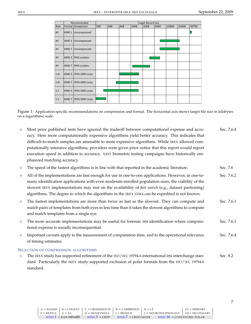|      |                   | Recommended            |     |     |     | <b>Target Record Size</b> |      |      |       |       |              |
|------|-------------------|------------------------|-----|-----|-----|---------------------------|------|------|-------|-------|--------------|
| Role |                   | Format Compressor      | 2KB | 4KB | 8KB | 16KB                      | 32KB | 64KB | 128KB | 256KB | <b>307KB</b> |
| All  | KIND 1            | Uncompressed           |     |     |     |                           |      |      |       |       |              |
| All  | KIND <sub>3</sub> | Uncompressed           |     |     |     |                           |      |      |       |       |              |
| All  | KIND <sub>7</sub> | Uncompressed           |     |     |     |                           |      |      |       |       |              |
| All  | KIND <sub>3</sub> | <b>PNG Lossless</b>    |     |     |     |                           |      |      |       |       |              |
| All  | KIND <sub>7</sub> | <b>PNG Lossless</b>    |     |     |     |                           |      |      |       |       |              |
| 1:N  |                   | KIND 3 JPEG 2000 Lossy |     |     |     |                           |      |      |       |       |              |
| 1:N  |                   | KIND 7 JPEG 2000 Lossy |     |     |     |                           |      |      |       |       |              |
| 1:1  |                   | KIND 3 JPEG 2000 Lossy |     |     |     |                           |      |      |       |       |              |
| 1:1  |                   | KIND 7 JPEG 2000 Lossy |     |     |     |                           |      |      |       |       |              |

Figure 1: Application-specific recommendations on compression and format. The horizontal axis shows target file size in kilobytes on a logarithmic scale.

- $\triangleright$  Most prior published tests have ignored the tradeoff between computational expense and accu- Sec. 7.6.4 racy. Here more computationally expensive algorithms yield better accuracy. This indicates that difficult-to-match samples are amenable to more expensive algorithms. While IREX allowed computationally intensive algorithms, providers were given prior notice that this report would report execution speed in addition to accuracy. NIST biometric testing campaigns have historically emphasized matching accuracy.
- $\triangleright$  The speed of the fastest algorithms is in line with that reported in the academic literature. Sec. 7.6
- . All of the implementations are fast enough for use in one-to-one applications. However, in one-to- Sec. 7.6.2 many identification applications with even moderate enrolled population sizes, the viability of the slowest IREX implementations may rest on the availability of *fast search* (e.g., dataset partioning) algorithms. The degree to which the algorithms in the IREX SDKs can be expedited is not known.
- $\triangleright$  The fastest implementations are more than twice as fast as the slowest: They can compute and Sec. 7.6.1 match pairs of templates from both eyes in less time than it takes the slowest algorithms to compute and match templates from a single eye.
- $\triangleright$  The more accurate implementations may be useful for forensic iris identification where computa- Sec. 7.6.1 tional expense is usually inconsequential.
- $\triangleright$  Important caveats apply to the measurement of computation time, and to the operational relevance Sec. 7.6.4 of timing estimates.

#### SELECTION OF COMPRESSION ALGORITHMS

 $\triangleright$  The IREX study has supported refinement of the ISO/IEC 19794-6 international iris interchange stan- Sec. 8.2 dard. Particularly the IREX study supported exclusion of polar formats from the ISO/IEC 19794-6 standard.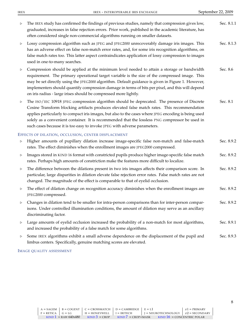| $\, \triangleright$ | The IREX study has confirmed the findings of previous studies, namely that compression gives low,<br>graduated, increases in false rejection errors. Prior work, published in the academic literature, has<br>often considered single non-commercial algorithms running on smaller datasets.                                                                                                                                                                                        | Sec. 8.1.1 |
|---------------------|-------------------------------------------------------------------------------------------------------------------------------------------------------------------------------------------------------------------------------------------------------------------------------------------------------------------------------------------------------------------------------------------------------------------------------------------------------------------------------------|------------|
| $\, \triangleright$ | Lossy compression algorithm such as JPEG and JPEG2000 unrecoverably damage iris images. This<br>has an adverse effect on false non-match error rates, and, for some iris recognition algorithms, on<br>false match rates too. This latter aspect contraindicates application of lossy compression to images<br>used in one-to-many searches.                                                                                                                                        | Sec. 8.1.3 |
| ▷                   | Compression should be applied at the minimum level needed to attain a storage or bandwidth<br>requirement. The primary operational target variable is the size of the compressed image. This<br>may be set directly using the JPEG2000 algorithm. Default guidance is given in Figure 1. However,<br>implementers should quantify compression damage in terms of bits per pixel, and this will depend<br>on iris radius - large irises should be compressed more lightly.           | Sec. 8.6   |
| $\, \triangleright$ | The ISO/IEC 10918 JPEG compression algorithm should be deprecated. The presence of Discrete<br>Cosine Transform blocking artifacts produces elevated false match rates. This recommendation<br>applies particularly to compact iris images, but also to the cases where JPEG encoding is being used<br>solely as a convenient container. It is recommended that the lossless PNG compressor be used in<br>such cases because it is too easy to invoke JPEG with adverse parameters. | Sec. 8.1   |
|                     | EFFECTS OF DILATION, OCCLUSION, CENTER DISPLACEMENT                                                                                                                                                                                                                                                                                                                                                                                                                                 |            |
| $\, \triangleright$ | Higher amounts of pupillary dilation increase image-specific false non-match and false-match<br>rates. The effect diminishes when the enrollment images are JPEG2000 compressed.                                                                                                                                                                                                                                                                                                    | Sec. 8.9.2 |
| $\, \triangleright$ | Images stored in KIND 16 format with constricted pupils produce higher image-specific false match<br>rates. Perhaps high amounts of constriction make the features more difficult to localize.                                                                                                                                                                                                                                                                                      | Sec. 8.9.2 |
| $\, \triangleright$ | The difference between the dilations present in two iris images affects their comparison score. In<br>particular, large disparities in dilation elevate false rejection error rates. False match rates are not<br>changed. The magnitude of the effect is comparable to that of eyelid occlusion.                                                                                                                                                                                   | Sec. 8.9.2 |
| $\, \triangleright$ | The effect of dilation change on recognition accuracy diminishes when the enrollment images are<br>JPEG2000 compressed.                                                                                                                                                                                                                                                                                                                                                             | Sec. 8.9.2 |
|                     | Changes in dilation tend to be smaller for intra-person comparisons than for inter-person compar-<br>isons. Under controlled illumination conditions, the amount of dilation may serve as an ancillary<br>discriminating factor.                                                                                                                                                                                                                                                    | Sec. 8.9.2 |
| $\, \triangleright$ | Large amounts of eyelid occlusion increased the probability of a non-match for most algorithms,<br>and increased the probability of a false match for some algorithms.                                                                                                                                                                                                                                                                                                              | Sec. 8.9.1 |
| $\triangleright$    | Some IREX algorithms exhibit a small adverse dependence on the displacement of the pupil and<br>limbus centers. Specifically, genuine matching scores are elevated.                                                                                                                                                                                                                                                                                                                 | Sec. 8.9.3 |

#### IMAGE QUALITY ASSESSMENT

8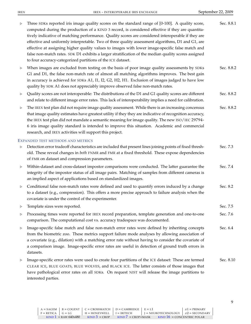| $\, \triangleright$ | Three SDKs reported iris image quality scores on the standard range of [0-100]. A quality score,<br>computed during the production of a KIND 3 record, is considered effective if they are quantita-<br>tively indicative of matching performance. Quality scores are considered interoperable if they are<br>effective and uniformly interpretable. Two of three quality assessment algorithms, D1 and G1, are<br>effective at assigning higher quality values to images with lower image-specific false match and<br>false non-match rates. SDK D1 exhibits a larger stratification of the median quality scores assigned<br>to four accuracy-categorized partitions of the ICE dataset. | Sec. 8.8.1 |
|---------------------|--------------------------------------------------------------------------------------------------------------------------------------------------------------------------------------------------------------------------------------------------------------------------------------------------------------------------------------------------------------------------------------------------------------------------------------------------------------------------------------------------------------------------------------------------------------------------------------------------------------------------------------------------------------------------------------------|------------|
| $\, \triangleright$ | When images are excluded from testing on the basis of poor image quality assessments by SDKs<br>G1 and D1, the false non-match rate of almost all matching algorithms improves. The best gain<br>in accuracy is achieved for SDKs A1, I1, I2, G2, H2, H1. Exclusion of images judged to have low<br>quality by SDK A1 does not appreciably improve observed false non-match rates.                                                                                                                                                                                                                                                                                                         | Sec. 8.8.2 |
| $\triangleright$    | Quality scores are not interoperable: The distributions of the D1 and G1 quality scores are different<br>and relate to different image error rates. This lack of interoperability implies a need for calibration.                                                                                                                                                                                                                                                                                                                                                                                                                                                                          | Sec. 8.8.2 |
| $\triangleright$    | The IREX test plan did not require image quality assessment. While there is an increasing concensus<br>that image quality estimates have greatest utility if they they are indicative of recognition accuracy,<br>the IREX test plan did not mandate a semantic meaning for image quality. The new ISO/IEC 29794-<br>6 iris image quality standard is intended to improve this situation. Academic and commercial<br>research, and IREX activities will support this project.                                                                                                                                                                                                              | Sec. 8.8.2 |
|                     | EXPANDED TEST METHODS AND METRICS                                                                                                                                                                                                                                                                                                                                                                                                                                                                                                                                                                                                                                                          |            |
| $\, \triangleright$ | Detection error tradeoff characteristics are included that present lines joining points of fixed thresh-<br>old. These reveal changes in both FNMR and FMR at a fixed threshold. These expose dependencies<br>of FMR on dataset and compression parameters.                                                                                                                                                                                                                                                                                                                                                                                                                                | Sec. 7.3   |
| $\triangleright$    | Within-dataset and cross-dataset impostor comparisons were conducted. The latter guarantee the<br>integrity of the impostor status of all image pairs. Matching of samples from different cameras is<br>an implied aspect of applications based on standardized images.                                                                                                                                                                                                                                                                                                                                                                                                                    | Sec. 7.4   |
| $\, \triangleright$ | Conditional false non-match rates were defined and used to quantify errors induced by a change<br>to a dataset (e.g., compression). This offers a more precise approach to failure analysis when the<br>covariate is under the control of the experimenter.                                                                                                                                                                                                                                                                                                                                                                                                                                | Sec. 8.2   |
| ▷                   | Template sizes were reported.                                                                                                                                                                                                                                                                                                                                                                                                                                                                                                                                                                                                                                                              | Sec. 7.5   |
| ▷                   | Processing times were reported for IREX record preparation, template generation and one-to-one<br>comparison. The computational cost vs. accuracy tradespace was documented.                                                                                                                                                                                                                                                                                                                                                                                                                                                                                                               | Sec. 7.6   |
| D                   | Image-specific false match and false non-match error rates were defined by inheriting concepts<br>from the biometric zoo. These metrics support failure mode analyses by allowing association of<br>a covariate (e.g., dilation) with a matching error rate without having to consider the covariate of<br>a comparison image. Image-specific error rates are useful in detection of ground truth errors in<br>datasets.                                                                                                                                                                                                                                                                   | Sec. 6.4   |
| $\triangleright$    | Image-specific error rates were used to create four partitions of the ICE dataset: These are termed<br>CLEAR ICE, BLUE GOATS, BLUE WOLVES, and BLACK ICE. The latter consists of those images that<br>have pathological error rates on all SDKs. On request NIST will release the image partitions to<br>interested parties.                                                                                                                                                                                                                                                                                                                                                               | Sec. 8.10  |

9